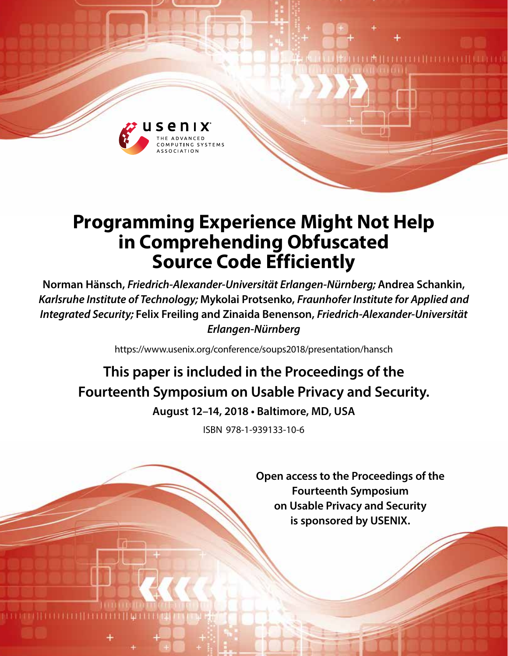

# **Programming Experience Might Not Help in Comprehending Obfuscated Source Code Efficiently**

**Norman Hänsch,** *Friedrich-Alexander-Universität Erlangen-Nürnberg;* **Andrea Schankin,** *Karlsruhe Institute of Technology;* **Mykolai Protsenko,** *Fraunhofer Institute for Applied and Integrated Security;* **Felix Freiling and Zinaida Benenson,** *Friedrich-Alexander-Universität Erlangen-Nürnberg*

https://www.usenix.org/conference/soups2018/presentation/hansch

## **This paper is included in the Proceedings of the Fourteenth Symposium on Usable Privacy and Security. August 12–14, 2018 • Baltimore, MD, USA**

ISBN 978-1-939133-10-6

**Open access to the Proceedings of the Fourteenth Symposium on Usable Privacy and Security is sponsored by USENIX.**

**THEFFILITERES**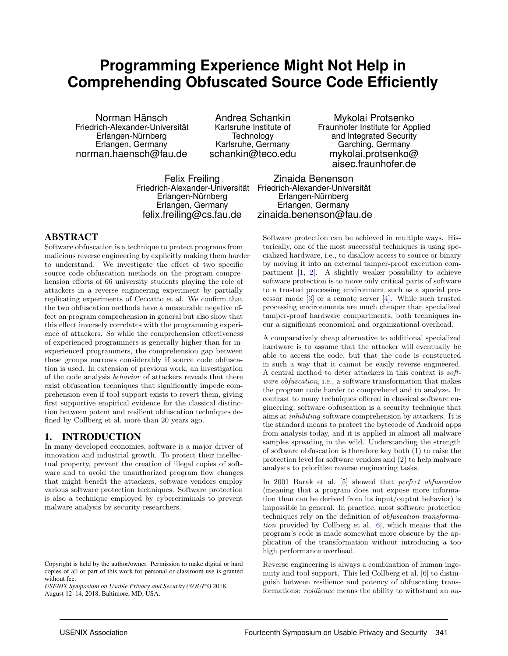## **Programming Experience Might Not Help in Comprehending Obfuscated Source Code Efficiently**

Norman Hänsch Friedrich-Alexander-Universität Erlangen-Nürnberg Erlangen, Germany norman.haensch@fau.de

Andrea Schankin Karlsruhe Institute of **Technology** Karlsruhe, Germany schankin@teco.edu

Mykolai Protsenko Fraunhofer Institute for Applied and Integrated Security Garching, Germany mykolai.protsenko@ aisec.fraunhofer.de

Felix Freiling Erlangen-Nürnberg Erlangen, Germany felix.freiling@cs.fau.de

Friedrich-Alexander-Universität Friedrich-Alexander-Universität Zinaida Benenson Erlangen-Nürnberg Erlangen, Germany zinaida.benenson@fau.de

## ABSTRACT

Software obfuscation is a technique to protect programs from malicious reverse engineering by explicitly making them harder to understand. We investigate the effect of two specific source code obfuscation methods on the program comprehension efforts of 66 university students playing the role of attackers in a reverse engineering experiment by partially replicating experiments of Ceccatto et al. We confirm that the two obfuscation methods have a measurable negative effect on program comprehension in general but also show that this effect inversely correlates with the programming experience of attackers. So while the comprehension effectiveness of experienced programmers is generally higher than for inexperienced programmers, the comprehension gap between these groups narrows considerably if source code obfuscation is used. In extension of previous work, an investigation of the code analysis behavior of attackers reveals that there exist obfuscation techniques that significantly impede comprehension even if tool support exists to revert them, giving first supportive empirical evidence for the classical distinction between potent and resilient obfuscation techniques defined by Collberg et al. more than 20 years ago.

#### 1. INTRODUCTION

In many developed economies, software is a major driver of innovation and industrial growth. To protect their intellectual property, prevent the creation of illegal copies of software and to avoid the unauthorized program flow changes that might benefit the attackers, software vendors employ various software protection techniques. Software protection is also a technique employed by cybercriminals to prevent malware analysis by security researchers.

*USENIX Symposium on Usable Privacy and Security (SOUPS)* 2018. August 12–14, 2018, Baltimore, MD, USA.

Software protection can be achieved in multiple ways. Historically, one of the most successful techniques is using specialized hardware, i.e., to disallow access to source or binary by moving it into an external tamper-proof execution compartment [\[1,](#page-13-0) [2\]](#page-13-1). A slightly weaker possibility to achieve software protection is to move only critical parts of software to a trusted processing environment such as a special processor mode [\[3\]](#page-13-2) or a remote server [\[4\]](#page-13-3). While such trusted processing environments are much cheaper than specialized tamper-proof hardware compartments, both techniques incur a significant economical and organizational overhead.

A comparatively cheap alternative to additional specialized hardware is to assume that the attacker will eventually be able to access the code, but that the code is constructed in such a way that it cannot be easily reverse engineered. A central method to deter attackers in this context is software obfuscation, i.e., a software transformation that makes the program code harder to comprehend and to analyze. In contrast to many techniques offered in classical software engineering, software obfuscation is a security technique that aims at inhibiting software comprehension by attackers. It is the standard means to protect the bytecode of Android apps from analysis today, and it is applied in almost all malware samples spreading in the wild. Understanding the strength of software obfuscation is therefore key both (1) to raise the protection level for software vendors and (2) to help malware analysts to prioritize reverse engineering tasks.

In 2001 Barak et al. [\[5\]](#page-13-4) showed that perfect obfuscation (meaning that a program does not expose more information than can be derived from its input/ouptut behavior) is impossible in general. In practice, most software protection techniques rely on the definition of obfuscation transformation provided by Collberg et al. [\[6\]](#page-13-5), which means that the program's code is made somewhat more obscure by the application of the transformation without introducing a too high performance overhead.

Reverse engineering is always a combination of human ingenuity and tool support. This led Collberg et al. [\[6\]](#page-13-5) to distinguish between resilience and potency of obfuscating transformations: *resilience* means the ability to withstand an *au-*

Copyright is held by the author/owner. Permission to make digital or hard copies of all or part of this work for personal or classroom use is granted without fee.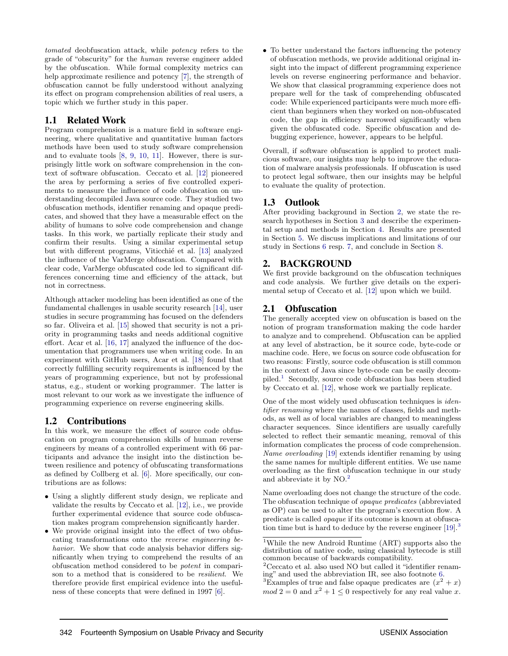tomated deobfuscation attack, while potency refers to the grade of "obscurity" for the human reverse engineer added by the obfuscation. While formal complexity metrics can help approximate resilience and potency [\[7\]](#page-13-6), the strength of obfuscation cannot be fully understood without analyzing its effect on program comprehension abilities of real users, a topic which we further study in this paper.

## 1.1 Related Work

Program comprehension is a mature field in software engineering, where qualitative and quantitative human factors methods have been used to study software comprehension and to evaluate tools [\[8,](#page-13-7) [9,](#page-13-8) [10,](#page-13-9) [11\]](#page-13-10). However, there is surprisingly little work on software comprehension in the context of software obfuscation. Ceccato et al. [\[12\]](#page-13-11) pioneered the area by performing a series of five controlled experiments to measure the influence of code obfuscation on understanding decompiled Java source code. They studied two obfuscation methods, identifier renaming and opaque predicates, and showed that they have a measurable effect on the ability of humans to solve code comprehension and change tasks. In this work, we partially replicate their study and confirm their results. Using a similar experimental setup but with different programs, Viticchié et al. [\[13\]](#page-13-12) analyzed the influence of the VarMerge obfuscation. Compared with clear code, VarMerge obfuscated code led to significant differences concerning time and efficiency of the attack, but not in correctness.

Although attacker modeling has been identified as one of the fundamental challenges in usable security research [\[14\]](#page-13-13), user studies in secure programming has focused on the defenders so far. Oliveira et al. [\[15\]](#page-13-14) showed that security is not a priority in programming tasks and needs additional cognitive effort. Acar et al. [\[16,](#page-13-15) [17\]](#page-13-16) analyzed the influence of the documentation that programmers use when writing code. In an experiment with GitHub users, Acar et al. [\[18\]](#page-13-17) found that correctly fulfilling security requirements is influenced by the years of programming experience, but not by professional status, e.g., student or working programmer. The latter is most relevant to our work as we investigate the influence of programming experience on reverse engineering skills.

## 1.2 Contributions

In this work, we measure the effect of source code obfuscation on program comprehension skills of human reverse engineers by means of a controlled experiment with 66 participants and advance the insight into the distinction between resilience and potency of obfuscating transformations as defined by Collberg et al. [\[6\]](#page-13-5). More specifically, our contributions are as follows:

- Using a slightly different study design, we replicate and validate the results by Ceccato et al. [\[12\]](#page-13-11), i.e., we provide further experimental evidence that source code obfuscation makes program comprehension significantly harder.
- We provide original insight into the effect of two obfuscating transformations onto the reverse engineering behavior. We show that code analysis behavior differs significantly when trying to comprehend the results of an obfuscation method considered to be potent in comparison to a method that is considered to be resilient. We therefore provide first empirical evidence into the usefulness of these concepts that were defined in 1997 [\[6\]](#page-13-5).

• To better understand the factors influencing the potency of obfuscation methods, we provide additional original insight into the impact of different programming experience levels on reverse engineering performance and behavior. We show that classical programming experience does not prepare well for the task of comprehending obfuscated code: While experienced participants were much more efficient than beginners when they worked on non-obfuscated code, the gap in efficiency narrowed significantly when given the obfuscated code. Specific obfuscation and debugging experience, however, appears to be helpful.

Overall, if software obfuscation is applied to protect malicious software, our insights may help to improve the education of malware analysis professionals. If obfuscation is used to protect legal software, then our insights may be helpful to evaluate the quality of protection.

## 1.3 Outlook

After providing background in Section [2,](#page-2-0) we state the research hypotheses in Section [3](#page-3-0) and describe the experimental setup and methods in Section [4.](#page-5-0) Results are presented in Section [5.](#page-8-0) We discuss implications and limitations of our study in Sections [6](#page-11-0) resp. [7,](#page-11-1) and conclude in Section [8.](#page-12-0)

## <span id="page-2-0"></span>2. BACKGROUND

We first provide background on the obfuscation techniques and code analysis. We further give details on the experimental setup of Ceccato et al. [\[12\]](#page-13-11) upon which we build.

## 2.1 Obfuscation

The generally accepted view on obfuscation is based on the notion of program transformation making the code harder to analyze and to comprehend. Obfuscation can be applied at any level of abstraction, be it source code, byte-code or machine code. Here, we focus on source code obfuscation for two reasons: Firstly, source code obfuscation is still common in the context of Java since byte-code can be easily decompiled.[1](#page-2-1) Secondly, source code obfuscation has been studied by Ceccato et al. [\[12\]](#page-13-11), whose work we partially replicate.

One of the most widely used obfuscation techniques is identifier renaming where the names of classes, fields and methods, as well as of local variables are changed to meaningless character sequences. Since identifiers are usually carefully selected to reflect their semantic meaning, removal of this information complicates the process of code comprehension. Name overloading [\[19\]](#page-13-18) extends identifier renaming by using the same names for multiple different entities. We use name overloading as the first obfuscation technique in our study and abbreviate it by NO.[2](#page-2-2)

Name overloading does not change the structure of the code. The obfuscation technique of opaque predicates (abbreviated as OP) can be used to alter the program's execution flow. A predicate is called opaque if its outcome is known at obfuscation time but is hard to deduce by the reverse engineer  $[19]$ .<sup>[3](#page-2-3)</sup>

<span id="page-2-2"></span><sup>2</sup>Ceccato et al. also used NO but called it "identifier renaming" and used the abbreviation IR, see also footnote [6.](#page-5-1)

<span id="page-2-3"></span><sup>3</sup>Examples of true and false opaque predicates are  $(x^2 + x)$  $mod 2 = 0$  and  $x^2 + 1 \leq 0$  respectively for any real value x.

<span id="page-2-1"></span><sup>1</sup>While the new Android Runtime (ART) supports also the distribution of native code, using classical bytecode is still common because of backwards compatibility.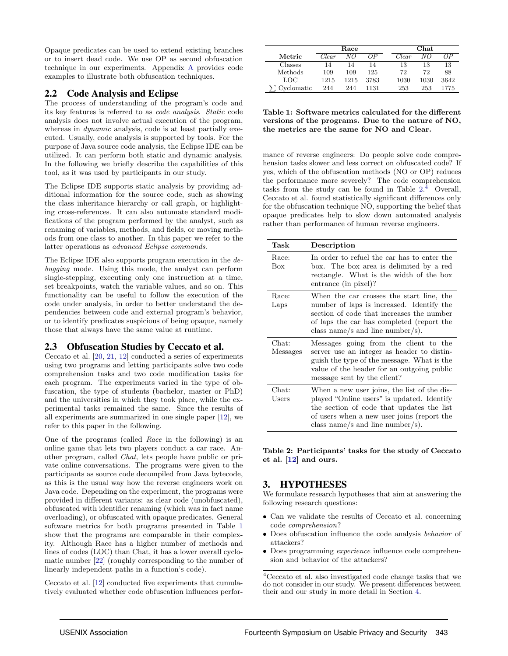Opaque predicates can be used to extend existing branches or to insert dead code. We use OP as second obfuscation technique in our experiments. Appendix [A](#page-14-0) provides code examples to illustrate both obfuscation techniques.

## 2.2 Code Analysis and Eclipse

The process of understanding of the program's code and its key features is referred to as code analysis. Static code analysis does not involve actual execution of the program, whereas in *dynamic* analysis, code is at least partially executed. Usually, code analysis is supported by tools. For the purpose of Java source code analysis, the Eclipse IDE can be utilized. It can perform both static and dynamic analysis. In the following we briefly describe the capabilities of this tool, as it was used by participants in our study.

The Eclipse IDE supports static analysis by providing additional information for the source code, such as showing the class inheritance hierarchy or call graph, or highlighting cross-references. It can also automate standard modifications of the program performed by the analyst, such as renaming of variables, methods, and fields, or moving methods from one class to another. In this paper we refer to the latter operations as advanced Eclipse commands.

The Eclipse IDE also supports program execution in the debugging mode. Using this mode, the analyst can perform single-stepping, executing only one instruction at a time, set breakpoints, watch the variable values, and so on. This functionality can be useful to follow the execution of the code under analysis, in order to better understand the dependencies between code and external program's behavior, or to identify predicates suspicious of being opaque, namely those that always have the same value at runtime.

## 2.3 Obfuscation Studies by Ceccato et al.

Ceccato et al. [\[20,](#page-13-19) [21,](#page-13-20) [12\]](#page-13-11) conducted a series of experiments using two programs and letting participants solve two code comprehension tasks and two code modification tasks for each program. The experiments varied in the type of obfuscation, the type of students (bachelor, master or PhD) and the universities in which they took place, while the experimental tasks remained the same. Since the results of all experiments are summarized in one single paper [\[12\]](#page-13-11), we refer to this paper in the following.

One of the programs (called Race in the following) is an online game that lets two players conduct a car race. Another program, called Chat, lets people have public or private online conversations. The programs were given to the participants as source code decompiled from Java bytecode, as this is the usual way how the reverse engineers work on Java code. Depending on the experiment, the programs were provided in different variants: as clear code (unobfuscated), obfuscated with identifier renaming (which was in fact name overloading), or obfuscated with opaque predicates. General software metrics for both programs presented in Table [1](#page-3-1) show that the programs are comparable in their complexity. Although Race has a higher number of methods and lines of codes (LOC) than Chat, it has a lower overall cyclomatic number [\[22\]](#page-13-21) (roughly corresponding to the number of linearly independent paths in a function's code).

Ceccato et al. [\[12\]](#page-13-11) conducted five experiments that cumulatively evaluated whether code obfuscation influences perfor-

|            |       | Race |      |       | Chat |      |  |  |
|------------|-------|------|------|-------|------|------|--|--|
| Metric     | Clear | NΟ   | ΩP   | Clear | NΟ   | ΩP   |  |  |
| Classes    | 14    | 14   | 14   | 13    | 13   | 13   |  |  |
| Methods    | 109   | 109  | 125  | 72    | 72   | 88   |  |  |
| LOC        | 1215  | 1215 | 3783 | 1030  | 1030 | 3642 |  |  |
| Cyclomatic | 244   | 244  | 1131 | 253   | 253  | 1775 |  |  |

<span id="page-3-1"></span>Table 1: Software metrics calculated for the different versions of the programs. Due to the nature of NO, the metrics are the same for NO and Clear.

mance of reverse engineers: Do people solve code comprehension tasks slower and less correct on obfuscated code? If yes, which of the obfuscation methods (NO or OP) reduces the performance more severely? The code comprehension tasks from the study can be found in Table [2.](#page-3-2) [4](#page-3-3) Overall, Ceccato et al. found statistically significant differences only for the obfuscation technique NO, supporting the belief that opaque predicates help to slow down automated analysis rather than performance of human reverse engineers.

| Task                     | Description                                                                                                                                                                                                              |
|--------------------------|--------------------------------------------------------------------------------------------------------------------------------------------------------------------------------------------------------------------------|
| Race:<br><b>Box</b>      | In order to refuel the car has to enter the<br>box. The box area is delimited by a red<br>rectangle. What is the width of the box<br>entrance (in pixel)?                                                                |
| Race:<br>Laps            | When the car crosses the start line, the<br>number of laps is increased. Identify the<br>section of code that increases the number<br>of laps the car has completed (report the<br>class name/s and line number/s).      |
| Chat:<br><b>Messages</b> | Messages going from the client to the<br>server use an integer as header to distin-<br>guish the type of the message. What is the<br>value of the header for an outgoing public<br>message sent by the client?           |
| $Chat:$<br>Users         | When a new user joins, the list of the dis-<br>played "Online users" is updated. Identify<br>the section of code that updates the list<br>of users when a new user joins (report the<br>class name/s and line number/s). |

<span id="page-3-2"></span>Table 2: Participants' tasks for the study of Ceccato et al. [\[12\]](#page-13-11) and ours.

## <span id="page-3-0"></span>3. HYPOTHESES

We formulate research hypotheses that aim at answering the following research questions:

- Can we validate the results of Ceccato et al. concerning code comprehension?
- Does obfuscation influence the code analysis behavior of attackers?
- Does programming *experience* influence code comprehension and behavior of the attackers?

<span id="page-3-3"></span> $^4\rm{Ceccato}$  et al. also investigated code change tasks that we do not consider in our study. We present differences between their and our study in more detail in Section [4.](#page-5-0)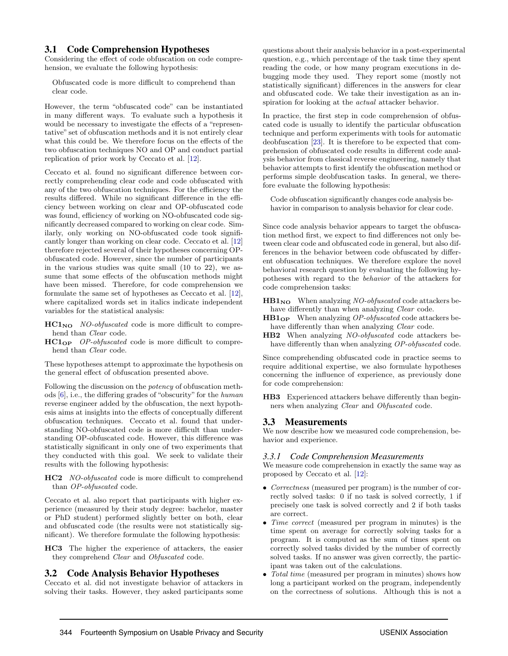#### 3.1 Code Comprehension Hypotheses

Considering the effect of code obfuscation on code comprehension, we evaluate the following hypothesis:

Obfuscated code is more difficult to comprehend than clear code.

However, the term "obfuscated code" can be instantiated in many different ways. To evaluate such a hypothesis it would be necessary to investigate the effects of a "representative" set of obfuscation methods and it is not entirely clear what this could be. We therefore focus on the effects of the two obfuscation techniques NO and OP and conduct partial replication of prior work by Ceccato et al. [\[12\]](#page-13-11).

Ceccato et al. found no significant difference between correctly comprehending clear code and code obfuscated with any of the two obfuscation techniques. For the efficiency the results differed. While no significant difference in the efficiency between working on clear and OP-obfuscated code was found, efficiency of working on NO-obfuscated code significantly decreased compared to working on clear code. Similarly, only working on NO-obfuscated code took significantly longer than working on clear code. Ceccato et al. [\[12\]](#page-13-11) therefore rejected several of their hypotheses concerning OPobfuscated code. However, since the number of participants in the various studies was quite small (10 to 22), we assume that some effects of the obfuscation methods might have been missed. Therefore, for code comprehension we formulate the same set of hypotheses as Ceccato et al. [\[12\]](#page-13-11), where capitalized words set in italics indicate independent variables for the statistical analysis:

- $HC1_{NO}$  NO-obfuscated code is more difficult to comprehend than Clear code.
- HC1OP OP-obfuscated code is more difficult to comprehend than Clear code.

These hypotheses attempt to approximate the hypothesis on the general effect of obfuscation presented above.

Following the discussion on the potency of obfuscation methods [\[6\]](#page-13-5), i.e., the differing grades of "obscurity" for the human reverse engineer added by the obfuscation, the next hypothesis aims at insights into the effects of conceptually different obfuscation techniques. Ceccato et al. found that understanding NO-obfuscated code is more difficult than understanding OP-obfuscated code. However, this difference was statistically significant in only one of two experiments that they conducted with this goal. We seek to validate their results with the following hypothesis:

HC2 NO-obfuscated code is more difficult to comprehend than OP-obfuscated code.

Ceccato et al. also report that participants with higher experience (measured by their study degree: bachelor, master or PhD student) performed slightly better on both, clear and obfuscated code (the results were not statistically significant). We therefore formulate the following hypothesis:

HC3 The higher the experience of attackers, the easier they comprehend Clear and Obfuscated code.

#### 3.2 Code Analysis Behavior Hypotheses

Ceccato et al. did not investigate behavior of attackers in solving their tasks. However, they asked participants some questions about their analysis behavior in a post-experimental question, e.g., which percentage of the task time they spent reading the code, or how many program executions in debugging mode they used. They report some (mostly not statistically significant) differences in the answers for clear and obfuscated code. We take their investigation as an inspiration for looking at the actual attacker behavior.

In practice, the first step in code comprehension of obfuscated code is usually to identify the particular obfuscation technique and perform experiments with tools for automatic deobfuscation [\[23\]](#page-13-22). It is therefore to be expected that comprehension of obfuscated code results in different code analysis behavior from classical reverse engineering, namely that behavior attempts to first identify the obfuscation method or performs simple deobfuscation tasks. In general, we therefore evaluate the following hypothesis:

Code obfuscation significantly changes code analysis behavior in comparison to analysis behavior for clear code.

Since code analysis behavior appears to target the obfuscation method first, we expect to find differences not only between clear code and obfuscated code in general, but also differences in the behavior between code obfuscated by different obfuscation techniques. We therefore explore the novel behavioral research question by evaluating the following hypotheses with regard to the behavior of the attackers for code comprehension tasks:

 $\textbf{H}\textbf{B1}_{\textbf{NO}}$  When analyzing *NO-obfuscated* code attackers behave differently than when analyzing *Clear* code.

- HB1OP When analyzing OP-obfuscated code attackers behave differently than when analyzing *Clear* code.
- HB2 When analyzing NO-obfuscated code attackers behave differently than when analyzing *OP-obfuscated* code.

Since comprehending obfuscated code in practice seems to require additional expertise, we also formulate hypotheses concerning the influence of experience, as previously done for code comprehension:

HB3 Experienced attackers behave differently than beginners when analyzing *Clear* and *Obfuscated* code.

#### 3.3 Measurements

We now describe how we measured code comprehension, behavior and experience.

#### <span id="page-4-0"></span>*3.3.1 Code Comprehension Measurements*

We measure code comprehension in exactly the same way as proposed by Ceccato et al. [\[12\]](#page-13-11):

- Correctness (measured per program) is the number of correctly solved tasks: 0 if no task is solved correctly, 1 if precisely one task is solved correctly and 2 if both tasks are correct.
- *Time correct* (measured per program in minutes) is the time spent on average for correctly solving tasks for a program. It is computed as the sum of times spent on correctly solved tasks divided by the number of correctly solved tasks. If no answer was given correctly, the participant was taken out of the calculations.
- Total time (measured per program in minutes) shows how long a participant worked on the program, independently on the correctness of solutions. Although this is not a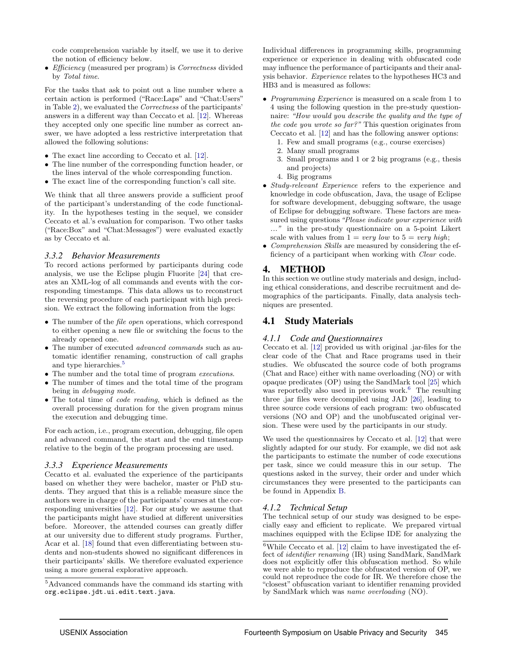code comprehension variable by itself, we use it to derive the notion of efficiency below.

• *Efficiency* (measured per program) is *Correctness* divided by Total time.

For the tasks that ask to point out a line number where a certain action is performed ("Race:Laps" and "Chat:Users" in Table [2\)](#page-3-2), we evaluated the Correctness of the participants' answers in a different way than Ceccato et al. [\[12\]](#page-13-11). Whereas they accepted only one specific line number as correct answer, we have adopted a less restrictive interpretation that allowed the following solutions:

- The exact line according to Ceccato et al. [\[12\]](#page-13-11).
- The line number of the corresponding function header, or the lines interval of the whole corresponding function.
- The exact line of the corresponding function's call site.

We think that all three answers provide a sufficient proof of the participant's understanding of the code functionality. In the hypotheses testing in the sequel, we consider Ceccato et al.'s evaluation for comparison. Two other tasks ("Race:Box" and "Chat:Messages") were evaluated exactly as by Ceccato et al.

#### *3.3.2 Behavior Measurements*

To record actions performed by participants during code analysis, we use the Eclipse plugin Fluorite [\[24\]](#page-13-23) that creates an XML-log of all commands and events with the corresponding timestamps. This data allows us to reconstruct the reversing procedure of each participant with high precision. We extract the following information from the logs:

- The number of the *file open* operations, which correspond to either opening a new file or switching the focus to the already opened one.
- The number of executed *advanced commands* such as automatic identifier renaming, construction of call graphs and type hierarchies.<sup>[5](#page-5-2)</sup>
- The number and the total time of program executions.
- The number of times and the total time of the program being in debugging mode.
- The total time of code reading, which is defined as the overall processing duration for the given program minus the execution and debugging time.

For each action, i.e., program execution, debugging, file open and advanced command, the start and the end timestamp relative to the begin of the program processing are used.

#### <span id="page-5-3"></span>*3.3.3 Experience Measurements*

Cecatto et al. evaluated the experience of the participants based on whether they were bachelor, master or PhD students. They argued that this is a reliable measure since the authors were in charge of the participants' courses at the corresponding universities [\[12\]](#page-13-11). For our study we assume that the participants might have studied at different universities before. Moreover, the attended courses can greatly differ at our university due to different study programs. Further, Acar et al. [\[18\]](#page-13-17) found that even differentiating between students and non-students showed no significant differences in their participants' skills. We therefore evaluated experience using a more general explorative approach.

Individual differences in programming skills, programming experience or experience in dealing with obfuscated code may influence the performance of participants and their analysis behavior. Experience relates to the hypotheses HC3 and HB3 and is measured as follows:

- Programming Experience is measured on a scale from 1 to 4 using the following question in the pre-study questionnaire: "How would you describe the quality and the type of the code you wrote so far?" This question originates from Ceccato et al. [\[12\]](#page-13-11) and has the following answer options:
	- 1. Few and small programs (e.g., course exercises)
	- 2. Many small programs
	- 3. Small programs and 1 or 2 big programs (e.g., thesis and projects)
	- 4. Big programs
- Study-relevant Experience refers to the experience and knowledge in code obfuscation, Java, the usage of Eclipse for software development, debugging software, the usage of Eclipse for debugging software. These factors are measured using questions "Please indicate your experience with ..." in the pre-study questionnaire on a 5-point Likert scale with values from  $1 = very low$  to  $5 = very high$ ;
- Comprehension Skills are measured by considering the efficiency of a participant when working with Clear code.

## <span id="page-5-0"></span>4. METHOD

In this section we outline study materials and design, including ethical considerations, and describe recruitment and demographics of the participants. Finally, data analysis techniques are presented.

## 4.1 Study Materials

#### *4.1.1 Code and Questionnaires*

Ceccato et al. [\[12\]](#page-13-11) provided us with original .jar-files for the clear code of the Chat and Race programs used in their studies. We obfuscated the source code of both programs (Chat and Race) either with name overloading (NO) or with opaque predicates (OP) using the SandMark tool [\[25\]](#page-14-1) which was reportedly also used in previous work.<sup>[6](#page-5-1)</sup> The resulting three .jar files were decompiled using JAD [\[26\]](#page-14-2), leading to three source code versions of each program: two obfuscated versions (NO and OP) and the unobfuscated original version. These were used by the participants in our study.

We used the questionnaires by Ceccato et al. [\[12\]](#page-13-11) that were slightly adapted for our study. For example, we did not ask the participants to estimate the number of code executions per task, since we could measure this in our setup. The questions asked in the survey, their order and under which circumstances they were presented to the participants can be found in Appendix [B.](#page-15-0)

## *4.1.2 Technical Setup*

The technical setup of our study was designed to be especially easy and efficient to replicate. We prepared virtual machines equipped with the Eclipse IDE for analyzing the

<span id="page-5-2"></span><sup>5</sup>Advanced commands have the command ids starting with org.eclipse.jdt.ui.edit.text.java.

<span id="page-5-1"></span> $^6\text{While}$  Ceccato et al. [\[12\]](#page-13-11) claim to have investigated the effect of identifier renaming (IR) using SandMark, SandMark does not explicitly offer this obfuscation method. So while we were able to reproduce the obfuscated version of OP, we could not reproduce the code for IR. We therefore chose the "closest" obfuscation variant to identifier renaming provided by SandMark which was name overloading (NO).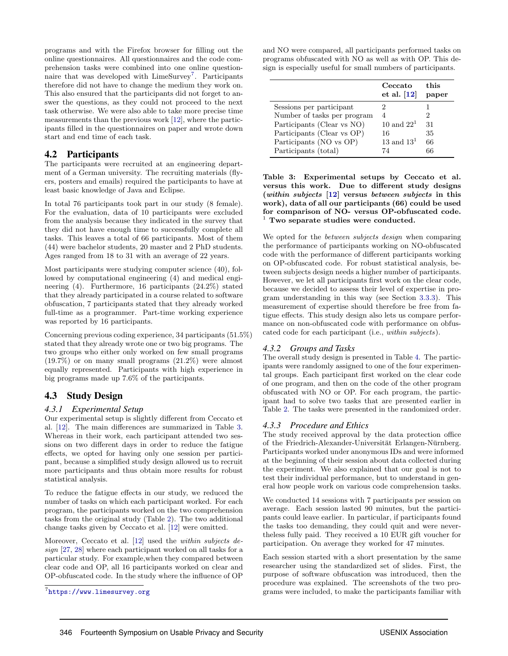programs and with the Firefox browser for filling out the online questionnaires. All questionnaires and the code comprehension tasks were combined into one online question-naire that was developed with LimeSurvey<sup>[7](#page-6-0)</sup>. Participants therefore did not have to change the medium they work on. This also ensured that the participants did not forget to answer the questions, as they could not proceed to the next task otherwise. We were also able to take more precise time measurements than the previous work [\[12\]](#page-13-11), where the participants filled in the questionnaires on paper and wrote down start and end time of each task.

## 4.2 Participants

The participants were recruited at an engineering department of a German university. The recruiting materials (flyers, posters and emails) required the participants to have at least basic knowledge of Java and Eclipse.

In total 76 participants took part in our study (8 female). For the evaluation, data of 10 participants were excluded from the analysis because they indicated in the survey that they did not have enough time to successfully complete all tasks. This leaves a total of 66 participants. Most of them (44) were bachelor students, 20 master and 2 PhD students. Ages ranged from 18 to 31 with an average of 22 years.

Most participants were studying computer science (40), followed by computational engineering (4) and medical engineering (4). Furthermore, 16 participants (24.2%) stated that they already participated in a course related to software obfuscation, 7 participants stated that they already worked full-time as a programmer. Part-time working experience was reported by 16 participants.

Concerning previous coding experience, 34 participants (51.5%) stated that they already wrote one or two big programs. The two groups who either only worked on few small programs (19.7%) or on many small programs (21.2%) were almost equally represented. Participants with high experience in big programs made up 7.6% of the participants.

## 4.3 Study Design

#### *4.3.1 Experimental Setup*

Our experimental setup is slightly different from Ceccato et al. [\[12\]](#page-13-11). The main differences are summarized in Table [3.](#page-6-1) Whereas in their work, each participant attended two sessions on two different days in order to reduce the fatigue effects, we opted for having only one session per participant, because a simplified study design allowed us to recruit more participants and thus obtain more results for robust statistical analysis.

To reduce the fatigue effects in our study, we reduced the number of tasks on which each participant worked. For each program, the participants worked on the two comprehension tasks from the original study (Table [2\)](#page-3-2). The two additional change tasks given by Ceccato et al. [\[12\]](#page-13-11) were omitted.

Moreover, Ceccato et al. [\[12\]](#page-13-11) used the within subjects design [\[27,](#page-14-3) [28\]](#page-14-4) where each participant worked on all tasks for a particular study. For example,when they compared between clear code and OP, all 16 participants worked on clear and OP-obfuscated code. In the study where the influence of OP

and NO were compared, all participants performed tasks on programs obfuscated with NO as well as with OP. This design is especially useful for small numbers of participants.

|                             | Ceccato<br>et al. $[12]$ | this<br>paper |
|-----------------------------|--------------------------|---------------|
| Sessions per participant    | 2                        |               |
| Number of tasks per program | 4                        | 2             |
| Participants (Clear vs NO)  | 10 and $221$             | 31            |
| Participants (Clear vs OP)  | 16                       | 35            |
| Participants (NO vs OP)     | 13 and $131$             | 66            |
| Participants (total)        | 74                       | 66            |

<span id="page-6-1"></span>Table 3: Experimental setups by Ceccato et al. versus this work. Due to different study designs (within subjects [\[12\]](#page-13-11) versus between subjects in this work), data of all our participants (66) could be used for comparison of NO- versus OP-obfuscated code.  $1$  Two separate studies were conducted.

We opted for the between subjects design when comparing the performance of participants working on NO-obfuscated code with the performance of different participants working on OP-obfuscated code. For robust statistical analysis, between subjects design needs a higher number of participants. However, we let all participants first work on the clear code, because we decided to assess their level of expertise in program understanding in this way (see Section [3.3.3\)](#page-5-3). This measurement of expertise should therefore be free from fatigue effects. This study design also lets us compare performance on non-obfuscated code with performance on obfuscated code for each participant (i.e., within subjects).

#### *4.3.2 Groups and Tasks*

The overall study design is presented in Table [4.](#page-7-0) The participants were randomly assigned to one of the four experimental groups. Each participant first worked on the clear code of one program, and then on the code of the other program obfuscated with NO or OP. For each program, the participant had to solve two tasks that are presented earlier in Table [2.](#page-3-2) The tasks were presented in the randomized order.

#### *4.3.3 Procedure and Ethics*

The study received approval by the data protection office of the Friedrich-Alexander-Universität Erlangen-Nürnberg. Participants worked under anonymous IDs and were informed at the beginning of their session about data collected during the experiment. We also explained that our goal is not to test their individual performance, but to understand in general how people work on various code comprehension tasks.

We conducted 14 sessions with 7 participants per session on average. Each session lasted 90 minutes, but the participants could leave earlier. In particular, if participants found the tasks too demanding, they could quit and were nevertheless fully paid. They received a 10 EUR gift voucher for participation. On average they worked for 47 minutes.

Each session started with a short presentation by the same researcher using the standardized set of slides. First, the purpose of software obfuscation was introduced, then the procedure was explained. The screenshots of the two programs were included, to make the participants familiar with

<span id="page-6-0"></span><sup>7</sup> <https://www.limesurvey.org>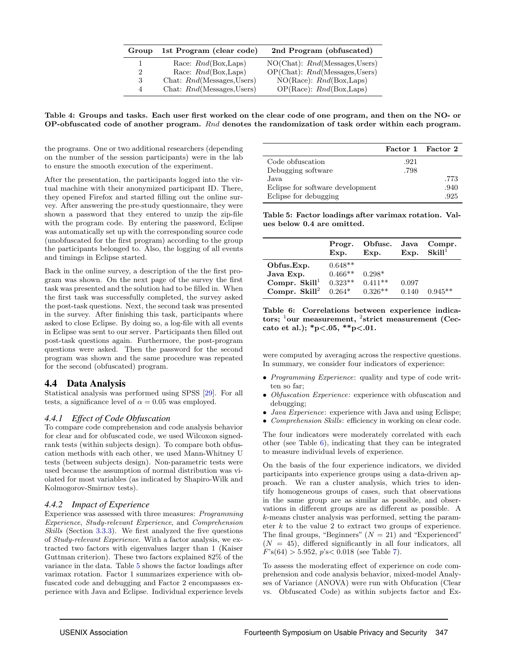| Group | 1st Program (clear code)      | 2nd Program (obfuscated)           |
|-------|-------------------------------|------------------------------------|
|       | Race: $Rnd(Box, \text{Laps})$ | $NO(Chat):$ $Rnd(Messages, Users)$ |
| 2     | Race: $Rnd(Box, Laps)$        | $OP(Chat):$ $Rnd(Mesages, Users)$  |
| 3     | Chat: Rnd(Messages, Users)    | $NO(Race):$ $Rnd(Box, Laps)$       |
| 4     | Chat: $Rnd(Messages, Users)$  | $OP(Race):$ $Rnd(Box, Laps)$       |

<span id="page-7-0"></span>Table 4: Groups and tasks. Each user first worked on the clear code of one program, and then on the NO- or OP-obfuscated code of another program. Rnd denotes the randomization of task order within each program.

the programs. One or two additional researchers (depending on the number of the session participants) were in the lab to ensure the smooth execution of the experiment.

After the presentation, the participants logged into the virtual machine with their anonymized participant ID. There, they opened Firefox and started filling out the online survey. After answering the pre-study questionnaire, they were shown a password that they entered to unzip the zip-file with the program code. By entering the password, Eclipse was automatically set up with the corresponding source code (unobfuscated for the first program) according to the group the participants belonged to. Also, the logging of all events and timings in Eclipse started.

Back in the online survey, a description of the the first program was shown. On the next page of the survey the first task was presented and the solution had to be filled in. When the first task was successfully completed, the survey asked the post-task questions. Next, the second task was presented in the survey. After finishing this task, participants where asked to close Eclipse. By doing so, a log-file with all events in Eclipse was sent to our server. Participants then filled out post-task questions again. Furthermore, the post-program questions were asked. Then the password for the second program was shown and the same procedure was repeated for the second (obfuscated) program.

#### 4.4 Data Analysis

Statistical analysis was performed using SPSS [\[29\]](#page-14-5). For all tests, a significance level of  $\alpha = 0.05$  was employed.

#### *4.4.1 Effect of Code Obfuscation*

To compare code comprehension and code analysis behavior for clear and for obfuscated code, we used Wilcoxon signedrank tests (within subjects design). To compare both obfuscation methods with each other, we used Mann-Whitney U tests (between subjects design). Non-parametric tests were used because the assumption of normal distribution was violated for most variables (as indicated by Shapiro-Wilk and Kolmogorov-Smirnov tests).

#### <span id="page-7-3"></span>*4.4.2 Impact of Experience*

Experience was assessed with three measures: Programming Experience, Study-relevant Experience, and Comprehension Skills (Section [3.3.3\)](#page-5-3). We first analyzed the five questions of Study-relevant Experience. With a factor analysis, we extracted two factors with eigenvalues larger than 1 (Kaiser Guttman criterion). These two factors explained 82% of the variance in the data. Table [5](#page-7-1) shows the factor loadings after varimax rotation. Factor 1 summarizes experience with obfuscated code and debugging and Factor 2 encompasses experience with Java and Eclipse. Individual experience levels

|                                  |      | Factor 1 Factor 2 |
|----------------------------------|------|-------------------|
| Code obfuscation                 | .921 |                   |
| Debugging software               | .798 |                   |
| Java.                            |      | .773              |
| Eclipse for software development |      | .940              |
| Eclipse for debugging            |      | .925              |

<span id="page-7-1"></span>Table 5: Factor loadings after varimax rotation. Values below 0.4 are omitted.

|                         | Progr.<br>Exp. | Obfusc.<br>Exp. | Java<br>Exp. | Compr.<br>$\rm Skill^1$ |
|-------------------------|----------------|-----------------|--------------|-------------------------|
| Obfus.Exp.              | $0.648**$      |                 |              |                         |
| Java Exp.               | $0.466**$      | $0.298*$        |              |                         |
| Compr. $\text{Skill}^1$ | $0.323**$      | $0.411**$       | 0.097        |                         |
| Compr. Skill $^2$       | $0.264*$       | $0.326**$       | 0.140        | $0.945**$               |

<span id="page-7-2"></span>Table 6: Correlations between experience indicators;  $^{1}$ our measurement,  $^{2}$ strict measurement (Ceccato et al.); \*p<.05, \*\*p<.01.

were computed by averaging across the respective questions. In summary, we consider four indicators of experience:

- Programming Experience: quality and type of code written so far;
- Obfuscation Experience: experience with obfuscation and debugging;
- *Java Experience*: experience with Java and using Eclispe;
- *Comprehension Skills*: efficiency in working on clear code.

The four indicators were moderately correlated with each other (see Table [6\)](#page-7-2), indicating that they can be integrated to measure individual levels of experience.

On the basis of the four experience indicators, we divided participants into experience groups using a data-driven approach. We ran a cluster analysis, which tries to identify homogeneous groups of cases, such that observations in the same group are as similar as possible, and observations in different groups are as different as possible. A k-means cluster analysis was performed, setting the parameter k to the value 2 to extract two groups of experience. The final groups, "Beginners"  $(N = 21)$  and "Experienced"  $(N = 45)$ , differed significantly in all four indicators, all  $F$ 's(64) > 5.952, p's < 0.018 (see Table [7\)](#page-8-1).

To assess the moderating effect of experience on code comprehension and code analysis behavior, mixed-model Analyses of Variance (ANOVA) were run with Obfucation (Clear vs. Obfuscated Code) as within subjects factor and Ex-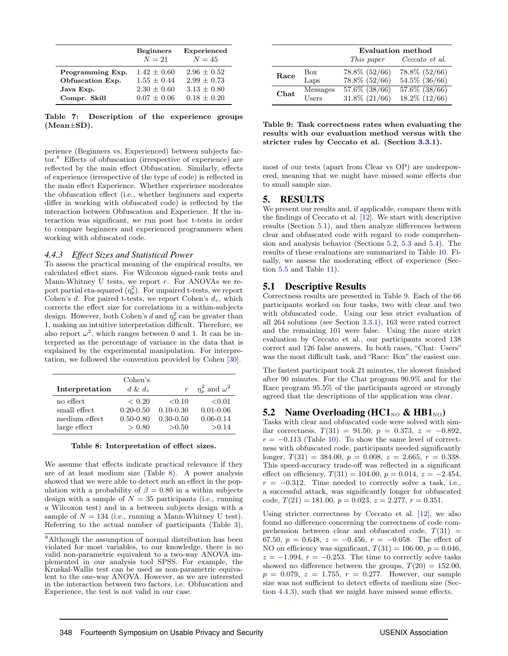|                  | <b>Beginners</b><br>$N=21$ | Experienced<br>$N=45$ |
|------------------|----------------------------|-----------------------|
| Programming Exp. | $1.42 + 0.60$              | $2.96 + 0.52$         |
| Obfuscation Exp. | $1.55 + 0.44$              | $2.99 + 0.73$         |
| Java Exp.        | $2.30 + 0.60$              | $3.13 + 0.80$         |
| Compr. Skill     | $0.07 + 0.06$              | $0.18 + 0.20$         |

<span id="page-8-1"></span>Table 7: Description of the experience groups (Mean±SD).

perience (Beginners vs. Experienced) between subjects factor.[8](#page-8-2) Effects of obfuscation (irrespective of experience) are reflected by the main effect Obfuscation. Similarly, effects of experience (irrespective of the type of code) is reflected in the main effect Experience. Whether experience moderates the obfuscation effect (i.e., whether beginners and experts differ in working with obfuscated code) is reflected by the interaction between Obfuscation and Experience. If the interaction was significant, we run post hoc t-tests in order to compare beginners and experienced programmers when working with obfuscated code.

#### <span id="page-8-7"></span>*4.4.3 Effect Sizes and Statistical Power*

To assess the practical meaning of the empirical results, we calculated effect sizes. For Wilcoxon signed-rank tests and Mann-Whitney U tests, we report  $r$ . For ANOVAs we report partial eta-squared  $(\eta_p^2)$ . For unpaired t-tests, we report Cohen's d. For paired t-tests, we report Cohen's  $d_z$ , which corrects the effect size for correlations in a within-subjects design. However, both Cohen's d and  $\eta_p^2$  can be greater than 1, making an intuitive interpretation difficult. Therefore, we also report  $\omega^2$ , which ranges between 0 and 1. It can be interpreted as the percentage of variance in the data that is explained by the experimental manipulation. For interpretation, we followed the convention provided by Cohen [\[30\]](#page-14-6).

| Interpretation | Cohen's<br>$d \& d_z$ |               | $\eta_p^2$ and $\omega^2$ |
|----------------|-----------------------|---------------|---------------------------|
| no effect      | ${}< 0.20$            | ${<}0.10$     | < 0.01                    |
| small effect   | $0.20 - 0.50$         | $0.10 - 0.30$ | $0.01 - 0.06$             |
| medium effect  | $0.50 - 0.80$         | $0.30 - 0.50$ | $0.06 - 0.14$             |
| large effect   | > 0.80                | > 0.50        | > 0.14                    |

<span id="page-8-3"></span>

|  | Table 8: Interpretation of effect sizes. |  |  |  |
|--|------------------------------------------|--|--|--|
|--|------------------------------------------|--|--|--|

We assume that effects indicate practical relevance if they are of at least medium size (Table [8\)](#page-8-3). A power analysis showed that we were able to detect such an effect in the population with a probability of  $\beta = 0.80$  in a within subjects design with a sample of  $N = 35$  participants (i.e., running a Wilcoxon test) and in a between subjects design with a sample of  $N = 134$  (i.e., running a Mann-Whitney U test). Referring to the actual number of participants (Table [3\)](#page-6-1),

|      |          | Evaluation method  |                    |  |  |  |  |
|------|----------|--------------------|--------------------|--|--|--|--|
|      |          | This paper         | Ceccato et al.     |  |  |  |  |
| Race | Box      | 78.8\% (52/66)     | 78.8\% (52/66)     |  |  |  |  |
|      | Laps     | 78.8% (52/66)      | 54.5% (36/66)      |  |  |  |  |
| Chat | Messages | $57.6\%$ $(38/66)$ | $57.6\%$ $(38/66)$ |  |  |  |  |
|      | Users    | $31.8\%$ $(21/66)$ | $18.2\%$ $(12/66)$ |  |  |  |  |

<span id="page-8-6"></span>Table 9: Task correctness rates when evaluating the results with our evaluation method versus with the stricter rules by Ceccato et al. (Section [3.3.1\)](#page-4-0).

most of our tests (apart from Clear vs OP) are underpowered, meaning that we might have missed some effects due to small sample size.

#### <span id="page-8-0"></span>5. RESULTS

We present our results and, if applicable, compare them with the findings of Ceccato et al. [\[12\]](#page-13-11). We start with descriptive results (Section [5.1\)](#page-8-4), and then analyze differences between clear and obfuscated code with regard to code comprehension and analysis behavior (Sections [5.2,](#page-8-5) [5.3](#page-9-0) and [5.4\)](#page-9-1). The results of these evaluations are summarized in Table [10.](#page-9-2) Finally, we assess the moderating effect of experience (Section [5.5](#page-10-0) and Table [11\)](#page-11-2).

#### <span id="page-8-4"></span>5.1 Descriptive Results

Correctness results are presented in Table [9.](#page-8-6) Each of the 66 participants worked on four tasks, two with clear and two with obfuscated code. Using our less strict evaluation of all 264 solutions (see Section [3.3.1\)](#page-4-0), 163 were rated correct and the remaining 101 were false. Using the more strict evaluation by Ceccato et al., our participants scored 138 correct and 126 false answers. In both cases, "Chat: Users" was the most difficult task, and "Race: Box" the easiest one.

The fastest participant took 21 minutes, the slowest finished after 90 minutes. For the Chat program 90.9% and for the Race program 95.5% of the participants agreed or strongly agreed that the descriptions of the application was clear.

#### <span id="page-8-5"></span>5.2 Name Overloading  $(HCl_{NQ} \& HH1_{NQ})$

Tasks with clear and obfuscated code were solved with similar correctness,  $T(31) = 91.50$ ,  $p = 0.373$ ,  $z = -0.892$ .  $r = -0.113$  (Table [10\)](#page-9-2). To show the same level of correctness with obfuscated code, participants needed significantly longer,  $T(31) = 384.00$ ,  $p = 0.008$ ,  $z = 2.665$ ,  $r = 0.338$ . This speed-accuracy trade-off was reflected in a significant effect on efficiency,  $T(31) = 104.00$ ,  $p = 0.014$ ,  $z = -2.454$ ,  $r = -0.312$ . Time needed to correctly solve a task, i.e., a successful attack, was significantly longer for obfuscated code,  $T(21) = 181.00, p = 0.023, z = 2.277, r = 0.351.$ 

Using stricter correctness by Ceccato et al. [\[12\]](#page-13-11), we also found no difference concerning the correctness of code comprehension between clear and obfuscated code,  $T(31)$  = 67.50,  $p = 0.648$ ,  $z = -0.456$ ,  $r = -0.058$ . The effect of NO on efficiency was significant,  $T(31) = 106.00, p = 0.046,$  $z = -1.994$ ,  $r = -0.253$ . The time to correctly solve tasks showed no difference between the groups,  $T(20) = 152.00$ ,  $p = 0.079, z = 1.755, r = 0.277$ . However, our sample size was not sufficient to detect effects of medium size (Section [4.4.3\)](#page-8-7), such that we might have missed some effects.

<span id="page-8-2"></span><sup>8</sup>Although the assumption of normal distribution has been violated for most variables, to our knowledge, there is no valid non-parametric equivalent to a two-way ANOVA implemented in our analysis tool SPSS. For example, the Kruskal-Wallis test can be used as non-parametric equivalent to the one-way ANOVA. However, as we are interested in the interaction between two factors, i.e. Obfuscation and Experience, the test is not valid in our case.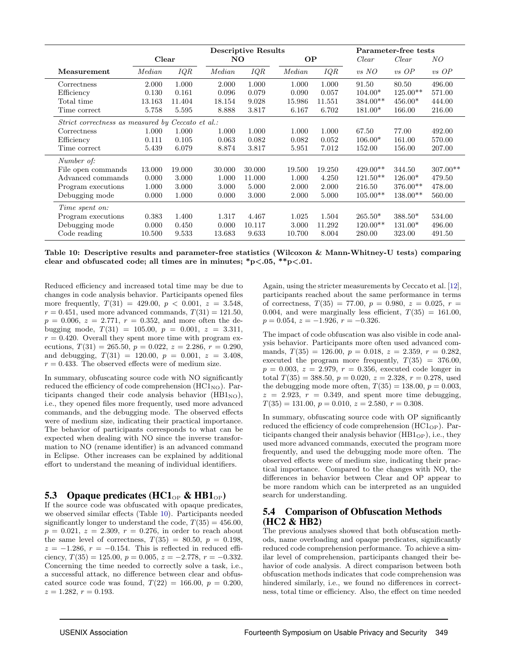|                                                   |        |        |        | <b>Descriptive Results</b> |           |        |            |            | Parameter-free tests |  |
|---------------------------------------------------|--------|--------|--------|----------------------------|-----------|--------|------------|------------|----------------------|--|
|                                                   | Clear  |        | NO.    |                            | <b>OP</b> |        | Clear      | Clear      | NO                   |  |
| Measurement                                       | Median | IQR    | Median | IQR                        | Median    | IQR    | $vs\ NO$   | $vs$ OP    | $vs$ OP              |  |
| Correctness                                       | 2.000  | 1.000  | 2.000  | 1.000                      | 1.000     | 1.000  | 91.50      | 80.50      | 496.00               |  |
| Efficiency                                        | 0.130  | 0.161  | 0.096  | 0.079                      | 0.090     | 0.057  | $104.00*$  | $125.00**$ | 571.00               |  |
| Total time                                        | 13.163 | 11.404 | 18.154 | 9.028                      | 15.986    | 11.551 | $384.00**$ | $456.00*$  | 444.00               |  |
| Time correct                                      | 5.758  | 5.595  | 8.888  | 3.817                      | 6.167     | 6.702  | $181.00*$  | 166.00     | 216.00               |  |
| Strict correctness as measured by Ceccato et al.: |        |        |        |                            |           |        |            |            |                      |  |
| Correctness                                       | 1.000  | 1.000  | 1.000  | 1.000                      | 1.000     | 1.000  | 67.50      | 77.00      | 492.00               |  |
| Efficiency                                        | 0.111  | 0.105  | 0.063  | 0.082                      | 0.082     | 0.052  | $106.00*$  | 161.00     | 570.00               |  |
| Time correct                                      | 5.439  | 6.079  | 8.874  | 3.817                      | 5.951     | 7.012  | 152.00     | 156.00     | 207.00               |  |
| Number of:                                        |        |        |        |                            |           |        |            |            |                      |  |
| File open commands                                | 13.000 | 19.000 | 30.000 | 30.000                     | 19.500    | 19.250 | $429.00**$ | 344.50     | $307.00**$           |  |
| Advanced commands                                 | 0.000  | 3.000  | 1.000  | 11.000                     | 1.000     | 4.250  | $121.50**$ | $126.00*$  | 479.50               |  |
| Program executions                                | 1.000  | 3.000  | 3.000  | 5.000                      | 2.000     | 2.000  | 216.50     | $376.00**$ | 478.00               |  |
| Debugging mode                                    | 0.000  | 1.000  | 0.000  | 3.000                      | 2.000     | 5.000  | $105.00**$ | $138.00**$ | 560.00               |  |
| Time spent on:                                    |        |        |        |                            |           |        |            |            |                      |  |
| Program executions                                | 0.383  | 1.400  | 1.317  | 4.467                      | 1.025     | 1.504  | $265.50*$  | $388.50*$  | 534.00               |  |
| Debugging mode                                    | 0.000  | 0.450  | 0.000  | 10.117                     | 3.000     | 11.292 | $120.00**$ | $131.00*$  | 496.00               |  |
| Code reading                                      | 10.500 | 9.533  | 13.683 | 9.633                      | 10.700    | 8.004  | 280.00     | 323.00     | 491.50               |  |

<span id="page-9-2"></span>Table 10: Descriptive results and parameter-free statistics (Wilcoxon & Mann-Whitney-U tests) comparing clear and obfuscated code; all times are in minutes;  $\frac{p}{0.05}$ ,  $\frac{p}{0.01}$ .

Reduced efficiency and increased total time may be due to changes in code analysis behavior. Participants opened files more frequently,  $T(31) = 429.00, p < 0.001, z = 3.548,$  $r = 0.451$ , used more advanced commands,  $T(31) = 121.50$ ,  $p = 0.006, z = 2.771, r = 0.352, and more often the de$ bugging mode,  $T(31) = 105.00, p = 0.001, z = 3.311,$  $r = 0.420$ . Overall they spent more time with program executions,  $T(31) = 265.50, p = 0.022, z = 2.286, r = 0.290,$ and debugging,  $T(31) = 120.00$ ,  $p = 0.001$ ,  $z = 3.408$ ,  $r = 0.433$ . The observed effects were of medium size.

In summary, obfuscating source code with NO significantly reduced the efficiency of code comprehension  $(HCl<sub>NO</sub>)$ . Participants changed their code analysis behavior  $(HB1_{NO}),$ i.e., they opened files more frequently, used more advanced commands, and the debugging mode. The observed effects were of medium size, indicating their practical importance. The behavior of participants corresponds to what can be expected when dealing with NO since the inverse transformation to NO (rename identifier) is an advanced command in Eclipse. Other increases can be explained by additional effort to understand the meaning of individual identifiers.

#### <span id="page-9-0"></span>5.3 Opaque predicates (HC1<sub>OP</sub> & HB1<sub>OP</sub>)

If the source code was obfuscated with opaque predicates, we observed similar effects (Table [10\)](#page-9-2). Participants needed significantly longer to understand the code,  $T(35) = 456.00$ ,  $p = 0.021, z = 2.309, r = 0.276$ , in order to reach about the same level of correctness,  $T(35) = 80.50, p = 0.198$ ,  $z = -1.286$ ,  $r = -0.154$ . This is reflected in reduced efficiency,  $T(35) = 125.00, p = 0.005, z = -2.778, r = -0.332$ . Concerning the time needed to correctly solve a task, i.e., a successful attack, no difference between clear and obfuscated source code was found,  $T(22) = 166.00, p = 0.200,$  $z = 1.282, r = 0.193.$ 

Again, using the stricter measurements by Ceccato et al. [\[12\]](#page-13-11), participants reached about the same performance in terms of correctness,  $T(35) = 77.00, p = 0.980, z = 0.025, r =$ 0.004, and were marginally less efficient,  $T(35) = 161.00$ ,  $p = 0.054$ ,  $z = -1.926$ ,  $r = -0.326$ .

The impact of code obfuscation was also visible in code analysis behavior. Participants more often used advanced commands,  $T(35) = 126.00, p = 0.018, z = 2.359, r = 0.282,$ executed the program more frequently,  $T(35) = 376.00$ ,  $p = 0.003, z = 2.979, r = 0.356$ , executed code longer in total  $T(35) = 388.50, p = 0.020, z = 2.328, r = 0.278$ , used the debugging mode more often,  $T(35) = 138.00, p = 0.003,$  $z = 2.923$ ,  $r = 0.349$ , and spent more time debugging,  $T(35) = 131.00, p = 0.010, z = 2.580, r = 0.308.$ 

In summary, obfuscating source code with OP significantly reduced the efficiency of code comprehension  $(HCl<sub>OP</sub>)$ . Participants changed their analysis behavior  $(HB1_{\rm OP})$ , i.e., they used more advanced commands, executed the program more frequently, and used the debugging mode more often. The observed effects were of medium size, indicating their practical importance. Compared to the changes with NO, the differences in behavior between Clear and OP appear to be more random which can be interpreted as an unguided search for understanding.

## <span id="page-9-1"></span>5.4 Comparison of Obfuscation Methods (HC2 & HB2)

The previous analyses showed that both obfuscation methods, name overloading and opaque predicates, significantly reduced code comprehension performance. To achieve a similar level of comprehension, participants changed their behavior of code analysis. A direct comparison between both obfuscation methods indicates that code comprehension was hindered similarly, i.e., we found no differences in correctness, total time or efficiency. Also, the effect on time needed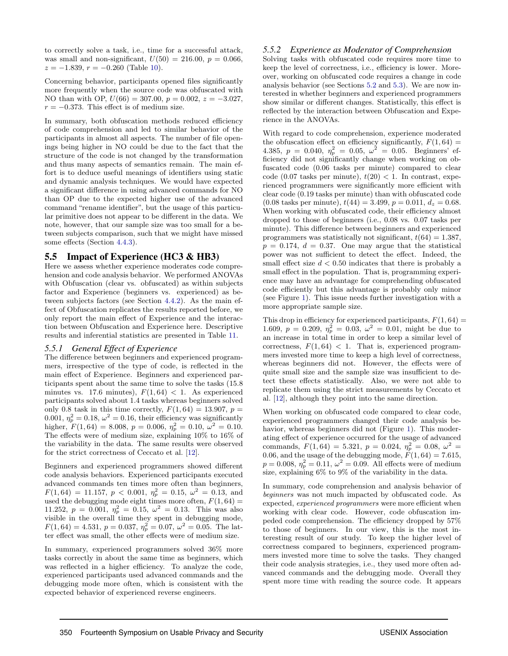to correctly solve a task, i.e., time for a successful attack, was small and non-significant,  $U(50) = 216.00$ ,  $p = 0.066$ ,  $z = -1.839$ ,  $r = -0.260$  (Table [10\)](#page-9-2).

Concerning behavior, participants opened files significantly more frequently when the source code was obfuscated with NO than with OP,  $U(66) = 307.00$ ,  $p = 0.002$ ,  $z = -3.027$ ,  $r = -0.373$ . This effect is of medium size.

In summary, both obfuscation methods reduced efficiency of code comprehension and led to similar behavior of the participants in almost all aspects. The number of file openings being higher in NO could be due to the fact that the structure of the code is not changed by the transformation and thus many aspects of semantics remain. The main effort is to deduce useful meanings of identifiers using static and dynamic analysis techniques. We would have expected a significant difference in using advanced commands for NO than OP due to the expected higher use of the advanced command "rename identifier", but the usage of this particular primitive does not appear to be different in the data. We note, however, that our sample size was too small for a between subjects comparison, such that we might have missed some effects (Section [4.4.3\)](#page-8-7).

## <span id="page-10-0"></span>5.5 Impact of Experience (HC3 & HB3)

Here we assess whether experience moderates code comprehension and code analysis behavior. We performed ANOVAs with Obfuscation (clear vs. obfuscated) as within subjects factor and Experience (beginners vs. experienced) as between subjects factors (see Section [4.4.2\)](#page-7-3). As the main effect of Obfuscation replicates the results reported before, we only report the main effect of Experience and the interaction between Obfuscation and Experience here. Descriptive results and inferential statistics are presented in Table [11.](#page-11-2)

#### *5.5.1 General Effect of Experience*

The difference between beginners and experienced programmers, irrespective of the type of code, is reflected in the main effect of Experience. Beginners and experienced participants spent about the same time to solve the tasks (15.8 minutes vs. 17.6 minutes),  $F(1, 64) < 1$ . As experienced participants solved about 1.4 tasks whereas beginners solved only 0.8 task in this time correctly,  $F(1, 64) = 13.907$ ,  $p =$ 0.001,  $\eta_p^2 = 0.18$ ,  $\omega^2 = 0.16$ , their efficiency was significantly higher,  $F(1, 64) = 8.008$ ,  $p = 0.006$ ,  $\eta_p^2 = 0.10$ ,  $\omega^2 = 0.10$ . The effects were of medium size, explaining 10% to 16% of the variability in the data. The same results were observed for the strict correctness of Ceccato et al. [\[12\]](#page-13-11).

Beginners and experienced programmers showed different code analysis behaviors. Experienced participants executed advanced commands ten times more often than beginners,  $F(1, 64) = 11.157, p < 0.001, \eta_p^2 = 0.15, \omega^2 = 0.13, \text{ and}$ used the debugging mode eight times more often,  $F(1, 64) =$ 11.252,  $p = 0.001$ ,  $\eta_p^2 = 0.15$ ,  $\omega^2 = 0.13$ . This was also visible in the overall time they spent in debugging mode,  $F(1, 64) = 4.531, p = 0.037, \eta_p^2 = 0.07, \omega^2 = 0.05$ . The latter effect was small, the other effects were of medium size.

In summary, experienced programmers solved 36% more tasks correctly in about the same time as beginners, which was reflected in a higher efficiency. To analyze the code, experienced participants used advanced commands and the debugging mode more often, which is consistent with the expected behavior of experienced reverse engineers.

#### *5.5.2 Experience as Moderator of Comprehension*

Solving tasks with obfuscated code requires more time to keep the level of correctness, i.e., efficiency is lower. Moreover, working on obfuscated code requires a change in code analysis behavior (see Sections [5.2](#page-8-5) and [5.3\)](#page-9-0). We are now interested in whether beginners and experienced programmers show similar or different changes. Statistically, this effect is reflected by the interaction between Obfuscation and Experience in the ANOVAs.

With regard to code comprehension, experience moderated the obfuscation effect on efficiency significantly,  $F(1, 64) =$ 4.385,  $p = 0.040, \eta_p^2 = 0.05, \omega^2 = 0.05$ . Beginners' efficiency did not significantly change when working on obfuscated code (0.06 tasks per minute) compared to clear code (0.07 tasks per minute),  $t(20) < 1$ . In contrast, experienced programmers were significantly more efficient with clear code (0.19 tasks per minute) than with obfuscated code  $(0.08 \text{ tasks per minute}), t(44) = 3.499, p = 0.011, d_z = 0.68.$ When working with obfuscated code, their efficiency almost dropped to those of beginners (i.e., 0.08 vs. 0.07 tasks per minute). This difference between beginners and experienced programmers was statistically not significant,  $t(64) = 1.387$ ,  $p = 0.174$ ,  $d = 0.37$ . One may argue that the statistical power was not sufficient to detect the effect. Indeed, the small effect size  $d < 0.50$  indicates that there is probably a small effect in the population. That is, programming experience may have an advantage for comprehending obfuscated code efficiently but this advantage is probably only minor (see Figure [1\)](#page-12-1). This issue needs further investigation with a more appropriate sample size.

This drop in efficiency for experienced participants,  $F(1, 64) =$ 1.609,  $p = 0.209$ ,  $\eta_p^2 = 0.03$ ,  $\omega^2 = 0.01$ , might be due to an increase in total time in order to keep a similar level of correctness,  $F(1, 64)$  < 1. That is, experienced programmers invested more time to keep a high level of correctness, whereas beginners did not. However, the effects were of quite small size and the sample size was insufficient to detect these effects statistically. Also, we were not able to replicate them using the strict measurements by Ceccato et al. [\[12\]](#page-13-11), although they point into the same direction.

When working on obfuscated code compared to clear code, experienced programmers changed their code analysis be-havior, whereas beginners did not (Figure [1\)](#page-12-1). This moderating effect of experience occurred for the usage of advanced commands,  $F(1, 64) = 5.321$ ,  $p = 0.024$ ,  $\eta_p^2 = 0.08$ ,  $\omega^2 =$ 0.06, and the usage of the debugging mode,  $F(1, 64) = 7.615$ ,  $p = 0.008, \eta_p^2 = 0.11, \omega^2 = 0.09.$  All effects were of medium size, explaining 6% to 9% of the variability in the data.

In summary, code comprehension and analysis behavior of beginners was not much impacted by obfuscated code. As expected, experienced programmers were more efficient when working with clear code. However, code obfuscation impeded code comprehension. The efficiency dropped by 57% to those of beginners. In our view, this is the most interesting result of our study. To keep the higher level of correctness compared to beginners, experienced programmers invested more time to solve the tasks. They changed their code analysis strategies, i.e., they used more often advanced commands and the debugging mode. Overall they spent more time with reading the source code. It appears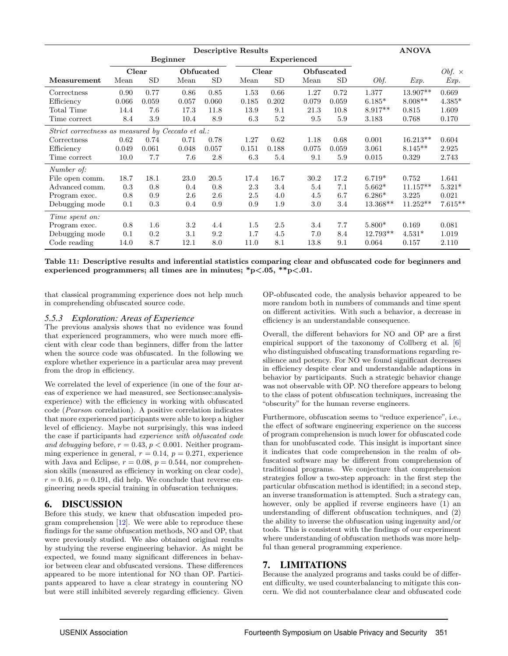|                                                   |       | <b>Descriptive Results</b> |                 |           |       |           |                    |            |            | <b>ANOVA</b> |                      |
|---------------------------------------------------|-------|----------------------------|-----------------|-----------|-------|-----------|--------------------|------------|------------|--------------|----------------------|
|                                                   |       |                            | <b>Beginner</b> |           |       |           | <b>Experienced</b> |            |            |              |                      |
|                                                   | Clear |                            | Obfucated       |           |       | Clear     |                    | Obfuscated |            |              | <i>Obf.</i> $\times$ |
| Measurement                                       | Mean  | <b>SD</b>                  | Mean            | <b>SD</b> | Mean  | <b>SD</b> | Mean               | SD         | Obf.       | Exp.         | Exp.                 |
| Correctness                                       | 0.90  | 0.77                       | 0.86            | 0.85      | 1.53  | 0.66      | 1.27               | 0.72       | 1.377      | 13.907**     | 0.669                |
| Efficiency                                        | 0.066 | 0.059                      | 0.057           | 0.060     | 0.185 | 0.202     | 0.079              | 0.059      | $6.185*$   | $8.008**$    | $4.385*$             |
| Total Time                                        | 14.4  | 7.6                        | 17.3            | 11.8      | 13.9  | 9.1       | 21.3               | 10.8       | $8.917**$  | 0.815        | 1.609                |
| Time correct                                      | 8.4   | 3.9                        | 10.4            | 8.9       | 6.3   | 5.2       | 9.5                | 5.9        | 3.183      | 0.768        | 0.170                |
| Strict correctness as measured by Ceccato et al.: |       |                            |                 |           |       |           |                    |            |            |              |                      |
| Correctness                                       | 0.62  | 0.74                       | 0.71            | 0.78      | 1.27  | 0.62      | 1.18               | 0.68       | 0.001      | $16.213**$   | 0.604                |
| Efficiency                                        | 0.049 | 0.061                      | 0.048           | 0.057     | 0.151 | 0.188     | 0.075              | 0.059      | 3.061      | $8.145**$    | 2.925                |
| Time correct                                      | 10.0  | 7.7                        | 7.6             | 2.8       | 6.3   | 5.4       | 9.1                | 5.9        | 0.015      | 0.329        | 2.743                |
| Number of:                                        |       |                            |                 |           |       |           |                    |            |            |              |                      |
| File open comm.                                   | 18.7  | 18.1                       | 23.0            | 20.5      | 17.4  | 16.7      | 30.2               | 17.2       | $6.719*$   | 0.752        | 1.641                |
| Advanced comm.                                    | 0.3   | 0.8                        | 0.4             | 0.8       | 2.3   | 3.4       | 5.4                | 7.1        | $5.662*$   | $11.157**$   | $5.321*$             |
| Program exec.                                     | 0.8   | 0.9                        | 2.6             | 2.6       | 2.5   | 4.0       | 4.5                | 6.7        | $6.286*$   | 3.225        | 0.021                |
| Debugging mode                                    | 0.1   | 0.3                        | 0.4             | 0.9       | 0.9   | 1.9       | 3.0                | 3.4        | $13.368**$ | $11.252**$   | $7.615**$            |
| Time spent on:                                    |       |                            |                 |           |       |           |                    |            |            |              |                      |
| Program exec.                                     | 0.8   | $1.6\,$                    | 3.2             | 4.4       | 1.5   | 2.5       | 3.4                | 7.7        | $5.800*$   | 0.169        | 0.081                |
| Debugging mode                                    | 0.1   | 0.2                        | 3.1             | 9.2       | 1.7   | 4.5       | 7.0                | 8.4        | $12.793**$ | $4.531*$     | 1.019                |
| Code reading                                      | 14.0  | 8.7                        | 12.1            | 8.0       | 11.0  | 8.1       | 13.8               | 9.1        | 0.064      | 0.157        | 2.110                |

<span id="page-11-2"></span>Table 11: Descriptive results and inferential statistics comparing clear and obfuscated code for beginners and experienced programmers; all times are in minutes;  $*p<.05$ ,  $**p<.01$ .

that classical programming experience does not help much in comprehending obfuscated source code.

#### *5.5.3 Exploration: Areas of Experience*

The previous analysis shows that no evidence was found that experienced programmers, who were much more efficient with clear code than beginners, differ from the latter when the source code was obfuscated. In the following we explore whether experience in a particular area may prevent from the drop in efficiency.

We correlated the level of experience (in one of the four areas of experience we had measured, see Sectionsec:analysisexperience) with the efficiency in working with obfuscated code (Pearson correlation). A positive correlation indicates that more experienced participants were able to keep a higher level of efficiency. Maybe not surprisingly, this was indeed the case if participants had experience with obfuscated code and debugging before,  $r = 0.43$ ,  $p < 0.001$ . Neither programming experience in general,  $r = 0.14$ ,  $p = 0.271$ , experience with Java and Eclipse,  $r = 0.08$ ,  $p = 0.544$ , nor comprehension skills (measured as efficiency in working on clear code),  $r = 0.16$ ,  $p = 0.191$ , did help. We conclude that reverse engineering needs special training in obfuscation techniques.

#### <span id="page-11-0"></span>6. DISCUSSION

Before this study, we knew that obfuscation impeded program comprehension [\[12\]](#page-13-11). We were able to reproduce these findings for the same obfuscation methods, NO and OP, that were previously studied. We also obtained original results by studying the reverse engineering behavior. As might be expected, we found many significant differences in behavior between clear and obfuscated versions. These differences appeared to be more intentional for NO than OP. Participants appeared to have a clear strategy in countering NO but were still inhibited severely regarding efficiency. Given

OP-obfuscated code, the analysis behavior appeared to be more random both in numbers of commands and time spent on different activities. With such a behavior, a decrease in efficiency is an understandable consequence.

Overall, the different behaviors for NO and OP are a first empirical support of the taxonomy of Collberg et al. [\[6\]](#page-13-5) who distinguished obfuscating transformations regarding resilience and potency. For NO we found significant decreases in efficiency despite clear and understandable adaptions in behavior by participants. Such a strategic behavior change was not observable with OP. NO therefore appears to belong to the class of potent obfuscation techniques, increasing the "obscurity" for the human reverse engineers.

Furthermore, obfuscation seems to "reduce experience", i.e., the effect of software engineering experience on the success of program comprehension is much lower for obfuscated code than for unobfuscated code. This insight is important since it indicates that code comprehension in the realm of obfuscated software may be different from comprehension of traditional programs. We conjecture that comprehension strategies follow a two-step approach: in the first step the particular obfuscation method is identified; in a second step, an inverse transformation is attempted. Such a strategy can, however, only be applied if reverse engineers have (1) an understanding of different obfuscation techniques, and (2) the ability to inverse the obfuscation using ingenuity and/or tools. This is consistent with the findings of our experiment where understanding of obfuscation methods was more helpful than general programming experience.

## <span id="page-11-1"></span>7. LIMITATIONS

Because the analyzed programs and tasks could be of different difficulty, we used counterbalancing to mitigate this concern. We did not counterbalance clear and obfuscated code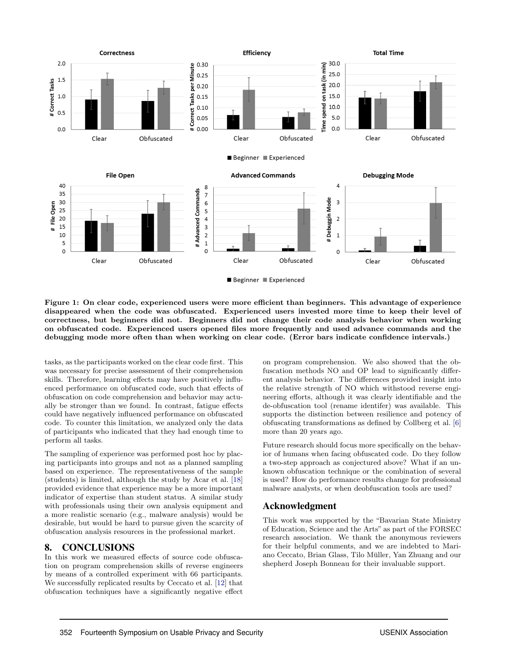

<span id="page-12-1"></span>Figure 1: On clear code, experienced users were more efficient than beginners. This advantage of experience disappeared when the code was obfuscated. Experienced users invested more time to keep their level of correctness, but beginners did not. Beginners did not change their code analysis behavior when working on obfuscated code. Experienced users opened files more frequently and used advance commands and the debugging mode more often than when working on clear code. (Error bars indicate confidence intervals.)

tasks, as the participants worked on the clear code first. This was necessary for precise assessment of their comprehension skills. Therefore, learning effects may have positively influenced performance on obfuscated code, such that effects of obfuscation on code comprehension and behavior may actually be stronger than we found. In contrast, fatigue effects could have negatively influenced performance on obfuscated code. To counter this limitation, we analyzed only the data of participants who indicated that they had enough time to perform all tasks.

The sampling of experience was performed post hoc by placing participants into groups and not as a planned sampling based on experience. The representativeness of the sample (students) is limited, although the study by Acar et al. [\[18\]](#page-13-17) provided evidence that experience may be a more important indicator of expertise than student status. A similar study with professionals using their own analysis equipment and a more realistic scenario (e.g., malware analysis) would be desirable, but would be hard to pursue given the scarcity of obfuscation analysis resources in the professional market.

#### <span id="page-12-0"></span>8. CONCLUSIONS

In this work we measured effects of source code obfuscation on program comprehension skills of reverse engineers by means of a controlled experiment with 66 participants. We successfully replicated results by Ceccato et al. [\[12\]](#page-13-11) that obfuscation techniques have a significantly negative effect

on program comprehension. We also showed that the obfuscation methods NO and OP lead to significantly different analysis behavior. The differences provided insight into the relative strength of NO which withstood reverse engineering efforts, although it was clearly identifiable and the de-obfuscation tool (rename identifer) was available. This supports the distinction between resilience and potency of obfuscating transformations as defined by Collberg et al. [\[6\]](#page-13-5) more than 20 years ago.

Future research should focus more specifically on the behavior of humans when facing obfuscated code. Do they follow a two-step approach as conjectured above? What if an unknown obfuscation technique or the combination of several is used? How do performance results change for professional malware analysts, or when deobfuscation tools are used?

#### Acknowledgment

This work was supported by the "Bavarian State Ministry of Education, Science and the Arts" as part of the FORSEC research association. We thank the anonymous reviewers for their helpful comments, and we are indebted to Mariano Ceccato, Brian Glass, Tilo Muller, Yan Zhuang and our ¨ shepherd Joseph Bonneau for their invaluable support.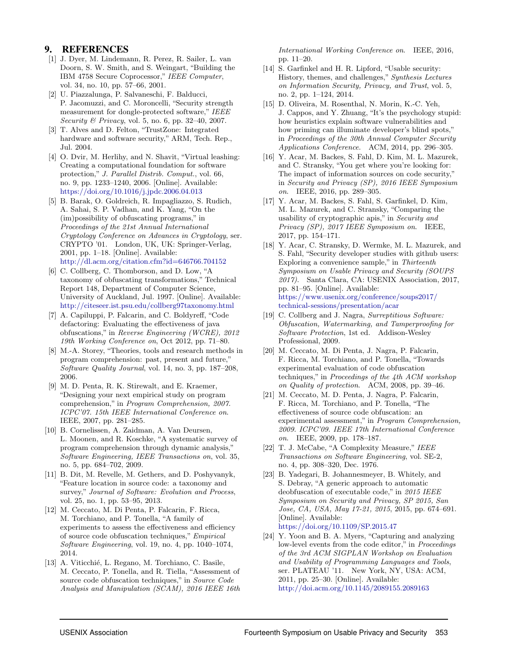## 9. REFERENCES

- <span id="page-13-0"></span>[1] J. Dyer, M. Lindemann, R. Perez, R. Sailer, L. van Doorn, S. W. Smith, and S. Weingart, "Building the IBM 4758 Secure Coprocessor," IEEE Computer, vol. 34, no. 10, pp. 57–66, 2001.
- <span id="page-13-1"></span>[2] U. Piazzalunga, P. Salvaneschi, F. Balducci, P. Jacomuzzi, and C. Moroncelli, "Security strength measurement for dongle-protected software," IEEE Security & Privacy, vol. 5, no. 6, pp. 32–40, 2007.
- <span id="page-13-2"></span>[3] T. Alves and D. Felton, "TrustZone: Integrated hardware and software security," ARM, Tech. Rep., Jul. 2004.
- <span id="page-13-3"></span>[4] O. Dvir, M. Herlihy, and N. Shavit, "Virtual leashing: Creating a computational foundation for software protection," J. Parallel Distrib. Comput., vol. 66, no. 9, pp. 1233–1240, 2006. [Online]. Available: <https://doi.org/10.1016/j.jpdc.2006.04.013>
- <span id="page-13-4"></span>[5] B. Barak, O. Goldreich, R. Impagliazzo, S. Rudich, A. Sahai, S. P. Vadhan, and K. Yang, "On the (im)possibility of obfuscating programs," in Proceedings of the 21st Annual International Cryptology Conference on Advances in Cryptology, ser. CRYPTO '01. London, UK, UK: Springer-Verlag, 2001, pp. 1–18. [Online]. Available: <http://dl.acm.org/citation.cfm?id=646766.704152>
- <span id="page-13-5"></span>[6] C. Collberg, C. Thomborson, and D. Low, "A taxonomy of obfuscating transformations," Technical Report 148, Department of Computer Science, University of Auckland, Jul. 1997. [Online]. Available: <http://citeseer.ist.psu.edu/collberg97taxonomy.html>
- <span id="page-13-6"></span>[7] A. Capiluppi, P. Falcarin, and C. Boldyreff, "Code defactoring: Evaluating the effectiveness of java obfuscations," in Reverse Engineering (WCRE), 2012 19th Working Conference on, Oct 2012, pp. 71–80.
- <span id="page-13-7"></span>[8] M.-A. Storey, "Theories, tools and research methods in program comprehension: past, present and future," Software Quality Journal, vol. 14, no. 3, pp. 187–208, 2006.
- <span id="page-13-8"></span>[9] M. D. Penta, R. K. Stirewalt, and E. Kraemer, "Designing your next empirical study on program comprehension," in Program Comprehension, 2007. ICPC'07. 15th IEEE International Conference on. IEEE, 2007, pp. 281–285.
- <span id="page-13-9"></span>[10] B. Cornelissen, A. Zaidman, A. Van Deursen, L. Moonen, and R. Koschke, "A systematic survey of program comprehension through dynamic analysis," Software Engineering, IEEE Transactions on, vol. 35, no. 5, pp. 684–702, 2009.
- <span id="page-13-10"></span>[11] B. Dit, M. Revelle, M. Gethers, and D. Poshyvanyk, "Feature location in source code: a taxonomy and survey," Journal of Software: Evolution and Process, vol. 25, no. 1, pp. 53–95, 2013.
- <span id="page-13-11"></span>[12] M. Ceccato, M. Di Penta, P. Falcarin, F. Ricca, M. Torchiano, and P. Tonella, "A family of experiments to assess the effectiveness and efficiency of source code obfuscation techniques," Empirical Software Engineering, vol. 19, no. 4, pp. 1040–1074, 2014.
- <span id="page-13-12"></span>[13] A. Viticchié, L. Regano, M. Torchiano, C. Basile, M. Ceccato, P. Tonella, and R. Tiella, "Assessment of source code obfuscation techniques," in Source Code Analysis and Manipulation (SCAM), 2016 IEEE 16th

International Working Conference on. IEEE, 2016, pp. 11–20.

- <span id="page-13-13"></span>[14] S. Garfinkel and H. R. Lipford, "Usable security: History, themes, and challenges," Synthesis Lectures on Information Security, Privacy, and Trust, vol. 5, no. 2, pp. 1–124, 2014.
- <span id="page-13-14"></span>[15] D. Oliveira, M. Rosenthal, N. Morin, K.-C. Yeh, J. Cappos, and Y. Zhuang, "It's the psychology stupid: how heuristics explain software vulnerabilities and how priming can illuminate developer's blind spots," in Proceedings of the 30th Annual Computer Security Applications Conference. ACM, 2014, pp. 296–305.
- <span id="page-13-15"></span>[16] Y. Acar, M. Backes, S. Fahl, D. Kim, M. L. Mazurek, and C. Stransky, "You get where you're looking for: The impact of information sources on code security," in Security and Privacy (SP), 2016 IEEE Symposium on. IEEE, 2016, pp. 289–305.
- <span id="page-13-16"></span>[17] Y. Acar, M. Backes, S. Fahl, S. Garfinkel, D. Kim, M. L. Mazurek, and C. Stransky, "Comparing the usability of cryptographic apis," in Security and Privacy (SP), 2017 IEEE Symposium on. IEEE, 2017, pp. 154–171.
- <span id="page-13-17"></span>[18] Y. Acar, C. Stransky, D. Wermke, M. L. Mazurek, and S. Fahl, "Security developer studies with github users: Exploring a convenience sample," in Thirteenth Symposium on Usable Privacy and Security (SOUPS 2017). Santa Clara, CA: USENIX Association, 2017, pp. 81–95. [Online]. Available: [https://www.usenix.org/conference/soups2017/](https://www.usenix.org/conference/soups2017/technical-sessions/presentation/acar) [technical-sessions/presentation/acar](https://www.usenix.org/conference/soups2017/technical-sessions/presentation/acar)
- <span id="page-13-18"></span>[19] C. Collberg and J. Nagra, Surreptitious Software: Obfuscation, Watermarking, and Tamperproofing for Software Protection, 1st ed. Addison-Wesley Professional, 2009.
- <span id="page-13-19"></span>[20] M. Ceccato, M. Di Penta, J. Nagra, P. Falcarin, F. Ricca, M. Torchiano, and P. Tonella, "Towards experimental evaluation of code obfuscation techniques," in Proceedings of the  $4th$  ACM workshop on Quality of protection. ACM, 2008, pp. 39–46.
- <span id="page-13-20"></span>[21] M. Ceccato, M. D. Penta, J. Nagra, P. Falcarin, F. Ricca, M. Torchiano, and P. Tonella, "The effectiveness of source code obfuscation: an experimental assessment," in Program Comprehension, 2009. ICPC'09. IEEE 17th International Conference on. IEEE, 2009, pp. 178–187.
- <span id="page-13-21"></span>[22] T. J. McCabe, "A Complexity Measure," IEEE Transactions on Software Engineering, vol. SE-2, no. 4, pp. 308–320, Dec. 1976.
- <span id="page-13-22"></span>[23] B. Yadegari, B. Johannesmeyer, B. Whitely, and S. Debray, "A generic approach to automatic deobfuscation of executable code," in 2015 IEEE Symposium on Security and Privacy, SP 2015, San Jose, CA, USA, May 17-21, 2015, 2015, pp. 674–691. [Online]. Available: <https://doi.org/10.1109/SP.2015.47>
- <span id="page-13-23"></span>[24] Y. Yoon and B. A. Myers, "Capturing and analyzing low-level events from the code editor," in *Proceedings* of the 3rd ACM SIGPLAN Workshop on Evaluation and Usability of Programming Languages and Tools, ser. PLATEAU '11. New York, NY, USA: ACM, 2011, pp. 25–30. [Online]. Available: <http://doi.acm.org/10.1145/2089155.2089163>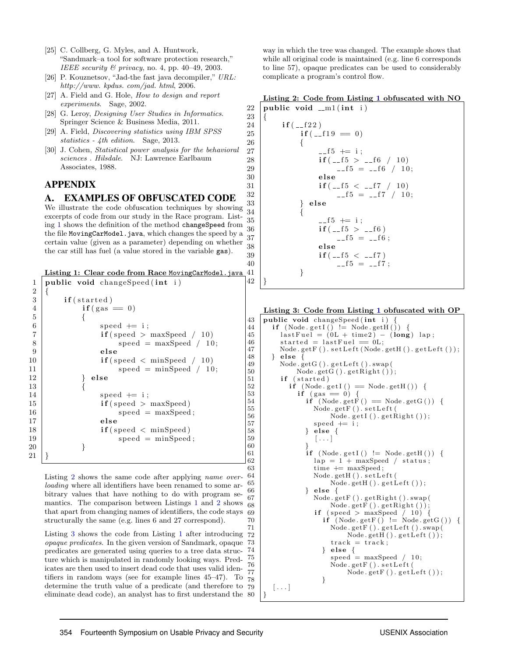- <span id="page-14-1"></span>[25] C. Collberg, G. Myles, and A. Huntwork, "Sandmark–a tool for software protection research," IEEE security  $\mathcal{B}$  privacy, no. 4, pp. 40–49, 2003.
- <span id="page-14-2"></span>[26] P. Kouznetsov, "Jad-the fast java decompiler," URL: http://www. kpdus. com/jad. html, 2006.
- <span id="page-14-3"></span>[27] A. Field and G. Hole, *How to design and report* experiments. Sage, 2002.
- <span id="page-14-4"></span>[28] G. Leroy, Designing User Studies in Informatics. Springer Science & Business Media, 2011.
- <span id="page-14-5"></span>[29] A. Field, Discovering statistics using IBM SPSS statistics - 4th edition. Sage, 2013.
- <span id="page-14-6"></span>[30] J. Cohen, Statistical power analysis for the behavioral sciences . Hilsdale. NJ: Lawrence Earlbaum Associates, 1988.

## APPENDIX

## <span id="page-14-0"></span>A. EXAMPLES OF OBFUSCATED CODE

We illustrate the code obfuscation techniques by showing excerpts of code from our study in the Race program. Listing [1](#page-14-7) shows the definition of the method changeSpeed from the file MovingCarModel.java, which changes the speed by a certain value (given as a parameter) depending on whether the car still has fuel (a value stored in the variable gas). 34 {

<span id="page-14-7"></span>Listing 1: Clear code from Race MovingCarModel.java

```
1 | public void changeSpeed (int i)
\overline{2}3 if (started)
4 if (gas = 0)5 {
6 speed += i;
7 \mid if (speed > maxSpeed / 10)
8 \mid speed = maxSpeed / 10;
9 \mid else
10 \textbf{if} (\text{speed} < \text{minSpeed} / 10)11 speed = minSpeed / 10;
12 } else
13 {
14 speed += i;
15 if (speed > maxSpeed)
16 speed = maxSpeed;
17 else
18 \text{if} (speed \text{[1]} minSpeed)
19 \mid speed = minSpeed;
20 }
21 }
```
Listing [2](#page-14-8) shows the same code after applying name overloading where all identifiers have been renamed to some arbitrary values that have nothing to do with program semantics. The comparison between Listings [1](#page-14-7) and [2](#page-14-8) shows that apart from changing names of identifiers, the code stays  $\overline{69}$ structurally the same (e.g. lines 6 and 27 correspond).

Listing [3](#page-14-9) shows the code from Listing [1](#page-14-7) after introducing opaque predicates. In the given version of Sandmark, opaque predicates are generated using queries to a tree data structure which is manipulated in randomly looking ways. Predicates are then used to insert dead code that uses valid identifiers in random ways (see for example lines 45–47). To  $\frac{11}{78}$ determine the truth value of a predicate (and therefore to eliminate dead code), an analyst has to first understand the  $\{80\}$ 

way in which the tree was changed. The example shows that while all original code is maintained (e.g. line 6 corresponds to line 57), opaque predicates can be used to considerably complicate a program's control flow.

<span id="page-14-8"></span>

|  |                                       |  | Listing 2: Code from Listing 1 obfuscated with NO |  |
|--|---------------------------------------|--|---------------------------------------------------|--|
|  | 22   public void $\text{cm}1$ (int i) |  |                                                   |  |

23 {

26 {

42 }

60 }

| 23      | {                          |
|---------|----------------------------|
| 24      | $if (-122)$                |
| 25      | $if (-19 == 0)$            |
| 26      | $\left\{ \right.$          |
| 27      | $-15 + i$                  |
| 28      | $if(\_f5 > \_f6 \ / \ 10)$ |
| 29      | $-f5 = -f6 / 10$ ;         |
| 30      | else                       |
| $^{31}$ | $if (-15 < -17 / 10)$      |
| 32      | $-f5 = -f7 / 10$ ;         |
| 33      | else                       |
| 34      |                            |
| 35      | $-15 + i$ ;                |
| 36      | $if($ --15 > --16)         |
| 37      | $-15 = -16$ :              |
| 38      | else                       |
| 39      | $if (-15 < -17)$           |
| 40      | $-15 = -17$                |
| 41      | }                          |
| 42      |                            |

```
Listing 3: Code from Listing 1 obfuscated with OP
```

```
43 public void changeSpeed (int i)
44 | if (Node.getI() != Node.getH()) {
45 last Fuel = (0L + time2) – (long) lap;
46 \n  \begin{array}{c}\n 346 \text{ started} = last \text{Full} == 0 \text{L}; \\
 47 \text{ Node.getF}().set \text{Left}(\text{Node}).\n \end{array}Node.getF().setLeft(Node.getH().getLeft();
48 } else {
49 Node.getG().getLeft().swap(
50 Node . getG() . getRight());
51 if (started)
52 if (Node.getI() = Node.getH()) {
53 if (gas == 0) {
54 if (Node.getF() = Node.getG()) {<br>Node.getF().setLeft(
                Node.getF().setLeft(
56 Node.getI().getRight());
57 speed += i;
58 } else {
59 \begin{bmatrix} \ldots \end{bmatrix}61 \mathbf{if} \ (\mathbf{Node}.\ \mathbf{getI}() \ \mathbf{!=} \ \mathbf{Node}.\ \mathbf{getH}()) \ \mathbf{\{}62 \vert lap = 1 + maxSpeed / status;<br>63 \vert time \vert = maxSpeed;
                time \leftarrow maxSpeed:
64 | Node .getH() . set Left (
65 Node . getH() . getLeft());
66 } else {
67 | Node .getF() .getRight() .swap(
68 Node . get F() . get Right())
                if (speed > maxSpeed / 10) {
70 | if (Node .getF() != Node .getG()) {
71 | Node.getF().getLeft().swap(
72 Node . getH() . getLeft());
73 track = track;
74 } else {
75 speed = maxSpeed / 10;
76 | Node.getF().setLeft(
77 | Node.getF().getLeft());
78 }
79 \left[\ldots\right]
```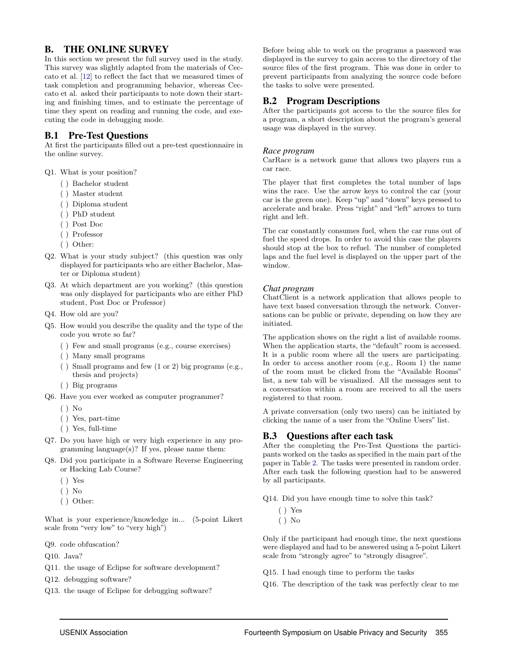## <span id="page-15-0"></span>B. THE ONLINE SURVEY

In this section we present the full survey used in the study. This survey was slightly adapted from the materials of Ceccato et al. [\[12\]](#page-13-11) to reflect the fact that we measured times of task completion and programming behavior, whereas Ceccato et al. asked their participants to note down their starting and finishing times, and to estimate the percentage of time they spent on reading and running the code, and executing the code in debugging mode.

## B.1 Pre-Test Questions

At first the participants filled out a pre-test questionnaire in the online survey.

Q1. What is your position?

- ( ) Bachelor student
- ( ) Master student
- ( ) Diploma student
- ( ) PhD student
- ( ) Post Doc
- ( ) Professor
- ( ) Other:
- Q2. What is your study subject? (this question was only displayed for participants who are either Bachelor, Master or Diploma student)
- Q3. At which department are you working? (this question was only displayed for participants who are either PhD student, Post Doc or Professor)
- Q4. How old are you?
- Q5. How would you describe the quality and the type of the code you wrote so far?
	- ( ) Few and small programs (e.g., course exercises)
	- ( ) Many small programs
	- ( ) Small programs and few (1 or 2) big programs (e.g., thesis and projects)
	- ( ) Big programs
- Q6. Have you ever worked as computer programmer?
	- ( ) No
	- ( ) Yes, part-time
	- ( ) Yes, full-time
- Q7. Do you have high or very high experience in any programming language(s)? If yes, please name them:
- Q8. Did you participate in a Software Reverse Engineering or Hacking Lab Course?
	- ( ) Yes
	- ( ) No
	- ( ) Other:

What is your experience/knowledge in... (5-point Likert scale from "very low" to "very high")

Q9. code obfuscation?

Q10. Java?

- Q11. the usage of Eclipse for software development?
- Q12. debugging software?
- Q13. the usage of Eclipse for debugging software?

Before being able to work on the programs a password was displayed in the survey to gain access to the directory of the source files of the first program. This was done in order to prevent participants from analyzing the source code before the tasks to solve were presented.

## B.2 Program Descriptions

After the participants got access to the the source files for a program, a short description about the program's general usage was displayed in the survey.

#### *Race program*

CarRace is a network game that allows two players run a car race.

The player that first completes the total number of laps wins the race. Use the arrow keys to control the car (your car is the green one). Keep "up" and "down" keys pressed to accelerate and brake. Press "right" and "left" arrows to turn right and left.

The car constantly consumes fuel, when the car runs out of fuel the speed drops. In order to avoid this case the players should stop at the box to refuel. The number of completed laps and the fuel level is displayed on the upper part of the window.

#### *Chat program*

ChatClient is a network application that allows people to have text based conversation through the network. Conversations can be public or private, depending on how they are initiated.

The application shows on the right a list of available rooms. When the application starts, the "default" room is accessed. It is a public room where all the users are participating. In order to access another room (e.g., Room 1) the name of the room must be clicked from the "Available Rooms" list, a new tab will be visualized. All the messages sent to a conversation within a room are received to all the users registered to that room.

A private conversation (only two users) can be initiated by clicking the name of a user from the "Online Users" list.

#### B.3 Questions after each task

After the completing the Pre-Test Questions the participants worked on the tasks as specified in the main part of the paper in Table [2.](#page-3-2) The tasks were presented in random order. After each task the following question had to be answered by all participants.

Q14. Did you have enough time to solve this task?

- ( ) Yes
- ( ) No

Only if the participant had enough time, the next questions were displayed and had to be answered using a 5-point Likert scale from "strongly agree" to "strongly disagree".

- Q15. I had enough time to perform the tasks
- Q16. The description of the task was perfectly clear to me